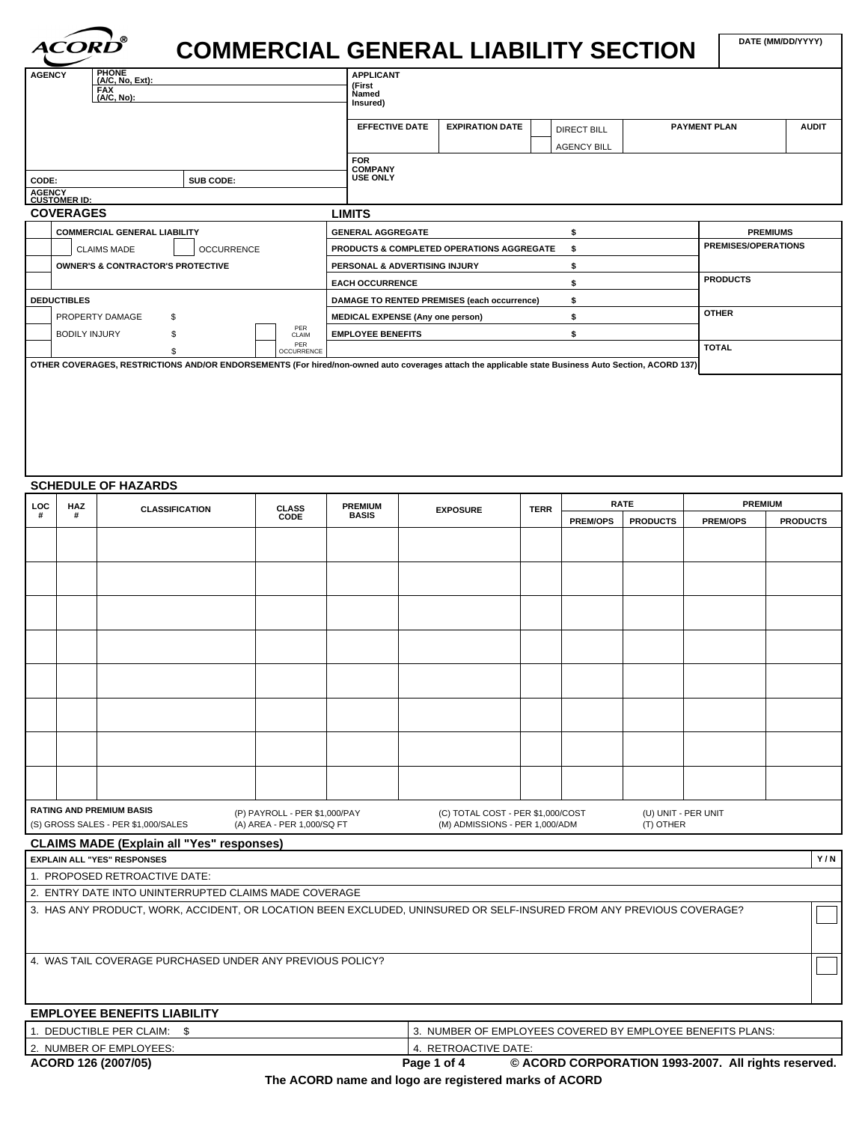# **COMMERCIAL GENERAL LIABILITY SECTION DATE (MM/DD/YYYY)**

|                                              | <b>PHONE</b><br><b>AGENCY</b><br>$(A/C, No, Ext)$ :<br><b>FAX</b><br>(A/C, No): |           |                   |                                         | <b>APPLICANT</b><br>(First<br>Named<br>Insured) |                                                                                                                                                     |                     |              |  |  |
|----------------------------------------------|---------------------------------------------------------------------------------|-----------|-------------------|-----------------------------------------|-------------------------------------------------|-----------------------------------------------------------------------------------------------------------------------------------------------------|---------------------|--------------|--|--|
|                                              |                                                                                 |           |                   | <b>EFFECTIVE DATE</b>                   | <b>EXPIRATION DATE</b>                          | <b>DIRECT BILL</b>                                                                                                                                  | <b>PAYMENT PLAN</b> | <b>AUDIT</b> |  |  |
|                                              |                                                                                 |           |                   |                                         |                                                 | <b>AGENCY BILL</b>                                                                                                                                  |                     |              |  |  |
|                                              |                                                                                 |           |                   | <b>FOR</b><br><b>COMPANY</b>            |                                                 |                                                                                                                                                     |                     |              |  |  |
| CODE:                                        |                                                                                 | SUB CODE: |                   | <b>USE ONLY</b>                         |                                                 |                                                                                                                                                     |                     |              |  |  |
| <b>AGENCY</b><br><b>CUSTOMER ID:</b>         |                                                                                 |           |                   |                                         |                                                 |                                                                                                                                                     |                     |              |  |  |
|                                              | <b>COVERAGES</b>                                                                |           |                   | <b>LIMITS</b>                           |                                                 |                                                                                                                                                     |                     |              |  |  |
|                                              | <b>COMMERCIAL GENERAL LIABILITY</b>                                             |           |                   | <b>GENERAL AGGREGATE</b>                |                                                 |                                                                                                                                                     | <b>PREMIUMS</b>     |              |  |  |
|                                              | <b>CLAIMS MADE</b><br><b>OCCURRENCE</b>                                         |           |                   |                                         | PRODUCTS & COMPLETED OPERATIONS AGGREGATE       |                                                                                                                                                     |                     |              |  |  |
| <b>OWNER'S &amp; CONTRACTOR'S PROTECTIVE</b> |                                                                                 |           |                   |                                         | PERSONAL & ADVERTISING INJURY                   |                                                                                                                                                     |                     |              |  |  |
|                                              |                                                                                 |           |                   | <b>EACH OCCURRENCE</b>                  |                                                 |                                                                                                                                                     | <b>PRODUCTS</b>     |              |  |  |
| <b>DEDUCTIBLES</b>                           |                                                                                 |           |                   |                                         | DAMAGE TO RENTED PREMISES (each occurrence)     |                                                                                                                                                     |                     |              |  |  |
|                                              | PROPERTY DAMAGE                                                                 | \$        |                   | <b>MEDICAL EXPENSE (Any one person)</b> |                                                 |                                                                                                                                                     | <b>OTHER</b>        |              |  |  |
|                                              | <b>BODILY INJURY</b>                                                            |           | PER<br>CLAIM      | <b>EMPLOYEE BENEFITS</b>                |                                                 |                                                                                                                                                     |                     |              |  |  |
|                                              |                                                                                 |           | PER<br>OCCURRENCE |                                         |                                                 |                                                                                                                                                     | <b>TOTAL</b>        |              |  |  |
|                                              |                                                                                 |           |                   |                                         |                                                 | OTHER COVERAGES, RESTRICTIONS AND/OR ENDORSEMENTS (For hired/non-owned auto coverages attach the applicable state Business Auto Section, ACORD 137) |                     |              |  |  |

### **SCHEDULE OF HAZARDS**

*ACOR* 

| LOC<br>HAZ                                                                                                                                                                                                                                       |   |                                                                                                                      | <b>PREMIUM</b><br><b>CLASS</b> |              | <b>TERR</b>     | <b>RATE</b> |                 | <b>PREMIUM</b>  |                 |                 |
|--------------------------------------------------------------------------------------------------------------------------------------------------------------------------------------------------------------------------------------------------|---|----------------------------------------------------------------------------------------------------------------------|--------------------------------|--------------|-----------------|-------------|-----------------|-----------------|-----------------|-----------------|
| #                                                                                                                                                                                                                                                | # | <b>CLASSIFICATION</b>                                                                                                | CODE                           | <b>BASIS</b> | <b>EXPOSURE</b> |             | <b>PREM/OPS</b> | <b>PRODUCTS</b> | <b>PREM/OPS</b> | <b>PRODUCTS</b> |
|                                                                                                                                                                                                                                                  |   |                                                                                                                      |                                |              |                 |             |                 |                 |                 |                 |
|                                                                                                                                                                                                                                                  |   |                                                                                                                      |                                |              |                 |             |                 |                 |                 |                 |
|                                                                                                                                                                                                                                                  |   |                                                                                                                      |                                |              |                 |             |                 |                 |                 |                 |
|                                                                                                                                                                                                                                                  |   |                                                                                                                      |                                |              |                 |             |                 |                 |                 |                 |
|                                                                                                                                                                                                                                                  |   |                                                                                                                      |                                |              |                 |             |                 |                 |                 |                 |
|                                                                                                                                                                                                                                                  |   |                                                                                                                      |                                |              |                 |             |                 |                 |                 |                 |
|                                                                                                                                                                                                                                                  |   |                                                                                                                      |                                |              |                 |             |                 |                 |                 |                 |
|                                                                                                                                                                                                                                                  |   |                                                                                                                      |                                |              |                 |             |                 |                 |                 |                 |
|                                                                                                                                                                                                                                                  |   |                                                                                                                      |                                |              |                 |             |                 |                 |                 |                 |
|                                                                                                                                                                                                                                                  |   |                                                                                                                      |                                |              |                 |             |                 |                 |                 |                 |
|                                                                                                                                                                                                                                                  |   |                                                                                                                      |                                |              |                 |             |                 |                 |                 |                 |
|                                                                                                                                                                                                                                                  |   |                                                                                                                      |                                |              |                 |             |                 |                 |                 |                 |
|                                                                                                                                                                                                                                                  |   |                                                                                                                      |                                |              |                 |             |                 |                 |                 |                 |
|                                                                                                                                                                                                                                                  |   |                                                                                                                      |                                |              |                 |             |                 |                 |                 |                 |
|                                                                                                                                                                                                                                                  |   |                                                                                                                      |                                |              |                 |             |                 |                 |                 |                 |
| <b>RATING AND PREMIUM BASIS</b><br>(P) PAYROLL - PER \$1,000/PAY<br>(C) TOTAL COST - PER \$1,000/COST<br>(U) UNIT - PER UNIT<br>(A) AREA - PER 1,000/SQ FT<br>(M) ADMISSIONS - PER 1,000/ADM<br>(T) OTHER<br>(S) GROSS SALES - PER \$1,000/SALES |   |                                                                                                                      |                                |              |                 |             |                 |                 |                 |                 |
|                                                                                                                                                                                                                                                  |   | <b>CLAIMS MADE (Explain all "Yes" responses)</b>                                                                     |                                |              |                 |             |                 |                 |                 |                 |
|                                                                                                                                                                                                                                                  |   | <b>EXPLAIN ALL "YES" RESPONSES</b>                                                                                   |                                |              |                 |             |                 |                 |                 | Y/N             |
|                                                                                                                                                                                                                                                  |   | 1. PROPOSED RETROACTIVE DATE:                                                                                        |                                |              |                 |             |                 |                 |                 |                 |
|                                                                                                                                                                                                                                                  |   | 2. ENTRY DATE INTO UNINTERRUPTED CLAIMS MADE COVERAGE                                                                |                                |              |                 |             |                 |                 |                 |                 |
|                                                                                                                                                                                                                                                  |   | 3. HAS ANY PRODUCT, WORK, ACCIDENT, OR LOCATION BEEN EXCLUDED, UNINSURED OR SELF-INSURED FROM ANY PREVIOUS COVERAGE? |                                |              |                 |             |                 |                 |                 |                 |
|                                                                                                                                                                                                                                                  |   |                                                                                                                      |                                |              |                 |             |                 |                 |                 |                 |
|                                                                                                                                                                                                                                                  |   |                                                                                                                      |                                |              |                 |             |                 |                 |                 |                 |
|                                                                                                                                                                                                                                                  |   |                                                                                                                      |                                |              |                 |             |                 |                 |                 |                 |

4. WAS TAIL COVERAGE PURCHASED UNDER ANY PREVIOUS POLICY?

## **EMPLOYEE BENEFITS LIABILITY**

| . DEDUCTIBLE PER CLAIM: \$ |                      | 3. NUMBER OF EMPLOYEES COVERED BY EMPLOYEE BENEFITS PLANS: |
|----------------------------|----------------------|------------------------------------------------------------|
| 12. NUMBER OF EMPLOYEES:   | 4. RETROACTIVE DATE: |                                                            |
| ACORD 126 (2007/05)        | Page 1 of 4          | © ACORD CORPORATION 1993-2007. All rights reserved.        |

**The ACORD name and logo are registered marks of ACORD**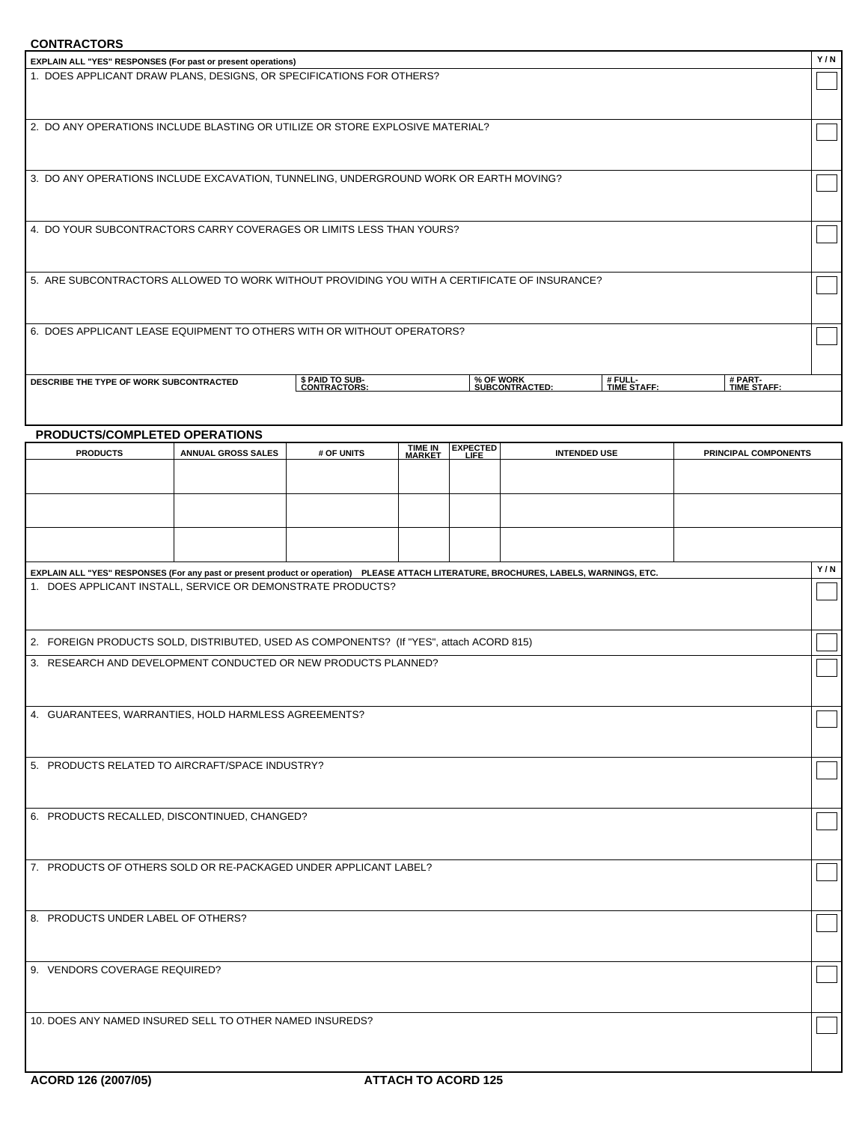## **CONTRACTORS**

| <b>CUNIRACIORS</b>                                                                                                                     |                           |                                 |                           |                             |  |                        |                        |     |  |
|----------------------------------------------------------------------------------------------------------------------------------------|---------------------------|---------------------------------|---------------------------|-----------------------------|--|------------------------|------------------------|-----|--|
| EXPLAIN ALL "YES" RESPONSES (For past or present operations)                                                                           |                           |                                 |                           |                             |  |                        |                        | Y/N |  |
| 1. DOES APPLICANT DRAW PLANS, DESIGNS, OR SPECIFICATIONS FOR OTHERS?                                                                   |                           |                                 |                           |                             |  |                        |                        |     |  |
|                                                                                                                                        |                           |                                 |                           |                             |  |                        |                        |     |  |
|                                                                                                                                        |                           |                                 |                           |                             |  |                        |                        |     |  |
| 2. DO ANY OPERATIONS INCLUDE BLASTING OR UTILIZE OR STORE EXPLOSIVE MATERIAL?                                                          |                           |                                 |                           |                             |  |                        |                        |     |  |
|                                                                                                                                        |                           |                                 |                           |                             |  |                        |                        |     |  |
|                                                                                                                                        |                           |                                 |                           |                             |  |                        |                        |     |  |
| 3. DO ANY OPERATIONS INCLUDE EXCAVATION, TUNNELING, UNDERGROUND WORK OR EARTH MOVING?                                                  |                           |                                 |                           |                             |  |                        |                        |     |  |
|                                                                                                                                        |                           |                                 |                           |                             |  |                        |                        |     |  |
|                                                                                                                                        |                           |                                 |                           |                             |  |                        |                        |     |  |
| 4. DO YOUR SUBCONTRACTORS CARRY COVERAGES OR LIMITS LESS THAN YOURS?                                                                   |                           |                                 |                           |                             |  |                        |                        |     |  |
|                                                                                                                                        |                           |                                 |                           |                             |  |                        |                        |     |  |
|                                                                                                                                        |                           |                                 |                           |                             |  |                        |                        |     |  |
| 5. ARE SUBCONTRACTORS ALLOWED TO WORK WITHOUT PROVIDING YOU WITH A CERTIFICATE OF INSURANCE?                                           |                           |                                 |                           |                             |  |                        |                        |     |  |
|                                                                                                                                        |                           |                                 |                           |                             |  |                        |                        |     |  |
|                                                                                                                                        |                           |                                 |                           |                             |  |                        |                        |     |  |
| 6. DOES APPLICANT LEASE EQUIPMENT TO OTHERS WITH OR WITHOUT OPERATORS?                                                                 |                           |                                 |                           |                             |  |                        |                        |     |  |
|                                                                                                                                        |                           |                                 |                           |                             |  |                        |                        |     |  |
|                                                                                                                                        |                           |                                 |                           |                             |  |                        |                        |     |  |
| DESCRIBE THE TYPE OF WORK SUBCONTRACTED                                                                                                |                           | \$ PAID TO SUB-<br>CONTRACTORS: |                           | % OF WORK<br>SUBCONTRACTED: |  | # FULL-<br>TIME STAFF: | # PART-<br>TIME STAFF: |     |  |
|                                                                                                                                        |                           |                                 |                           |                             |  |                        |                        |     |  |
|                                                                                                                                        |                           |                                 |                           |                             |  |                        |                        |     |  |
| PRODUCTS/COMPLETED OPERATIONS                                                                                                          |                           |                                 |                           |                             |  |                        |                        |     |  |
| <b>PRODUCTS</b>                                                                                                                        | <b>ANNUAL GROSS SALES</b> | # OF UNITS                      | <b>TIME IN<br/>MARKET</b> | EXPECTED<br>LIFE            |  | <b>INTENDED USE</b>    | PRINCIPAL COMPONENTS   |     |  |
|                                                                                                                                        |                           |                                 |                           |                             |  |                        |                        |     |  |
|                                                                                                                                        |                           |                                 |                           |                             |  |                        |                        |     |  |
|                                                                                                                                        |                           |                                 |                           |                             |  |                        |                        |     |  |
|                                                                                                                                        |                           |                                 |                           |                             |  |                        |                        |     |  |
|                                                                                                                                        |                           |                                 |                           |                             |  |                        |                        |     |  |
|                                                                                                                                        |                           |                                 |                           |                             |  |                        |                        |     |  |
| EXPLAIN ALL "YES" RESPONSES (For any past or present product or operation) PLEASE ATTACH LITERATURE, BROCHURES, LABELS, WARNINGS, ETC. |                           |                                 |                           |                             |  |                        |                        | Y/N |  |
| 1. DOES APPLICANT INSTALL, SERVICE OR DEMONSTRATE PRODUCTS?                                                                            |                           |                                 |                           |                             |  |                        |                        |     |  |
|                                                                                                                                        |                           |                                 |                           |                             |  |                        |                        |     |  |
|                                                                                                                                        |                           |                                 |                           |                             |  |                        |                        |     |  |
| 2. FOREIGN PRODUCTS SOLD, DISTRIBUTED, USED AS COMPONENTS? (If "YES", attach ACORD 815)                                                |                           |                                 |                           |                             |  |                        |                        |     |  |
| 3. RESEARCH AND DEVELOPMENT CONDUCTED OR NEW PRODUCTS PLANNED?                                                                         |                           |                                 |                           |                             |  |                        |                        |     |  |
|                                                                                                                                        |                           |                                 |                           |                             |  |                        |                        |     |  |
|                                                                                                                                        |                           |                                 |                           |                             |  |                        |                        |     |  |
| 4. GUARANTEES, WARRANTIES, HOLD HARMLESS AGREEMENTS?                                                                                   |                           |                                 |                           |                             |  |                        |                        |     |  |
|                                                                                                                                        |                           |                                 |                           |                             |  |                        |                        |     |  |
|                                                                                                                                        |                           |                                 |                           |                             |  |                        |                        |     |  |
| 5. PRODUCTS RELATED TO AIRCRAFT/SPACE INDUSTRY?                                                                                        |                           |                                 |                           |                             |  |                        |                        |     |  |
|                                                                                                                                        |                           |                                 |                           |                             |  |                        |                        |     |  |
|                                                                                                                                        |                           |                                 |                           |                             |  |                        |                        |     |  |
| 6. PRODUCTS RECALLED, DISCONTINUED, CHANGED?                                                                                           |                           |                                 |                           |                             |  |                        |                        |     |  |
|                                                                                                                                        |                           |                                 |                           |                             |  |                        |                        |     |  |
|                                                                                                                                        |                           |                                 |                           |                             |  |                        |                        |     |  |
| 7. PRODUCTS OF OTHERS SOLD OR RE-PACKAGED UNDER APPLICANT LABEL?                                                                       |                           |                                 |                           |                             |  |                        |                        |     |  |
|                                                                                                                                        |                           |                                 |                           |                             |  |                        |                        |     |  |
|                                                                                                                                        |                           |                                 |                           |                             |  |                        |                        |     |  |
| 8. PRODUCTS UNDER LABEL OF OTHERS?                                                                                                     |                           |                                 |                           |                             |  |                        |                        |     |  |
|                                                                                                                                        |                           |                                 |                           |                             |  |                        |                        |     |  |
|                                                                                                                                        |                           |                                 |                           |                             |  |                        |                        |     |  |
| 9. VENDORS COVERAGE REQUIRED?                                                                                                          |                           |                                 |                           |                             |  |                        |                        |     |  |
|                                                                                                                                        |                           |                                 |                           |                             |  |                        |                        |     |  |
|                                                                                                                                        |                           |                                 |                           |                             |  |                        |                        |     |  |
| 10. DOES ANY NAMED INSURED SELL TO OTHER NAMED INSUREDS?                                                                               |                           |                                 |                           |                             |  |                        |                        |     |  |
|                                                                                                                                        |                           |                                 |                           |                             |  |                        |                        |     |  |
|                                                                                                                                        |                           |                                 |                           |                             |  |                        |                        |     |  |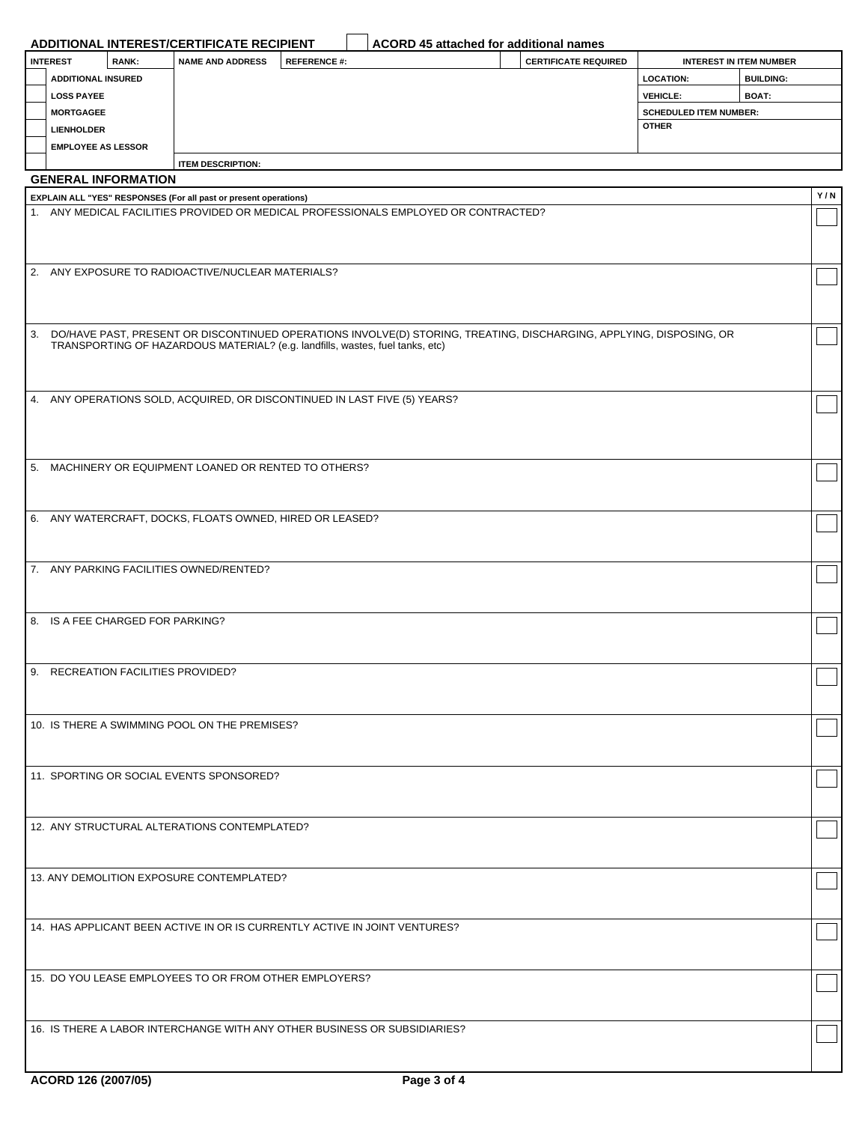|                   |                                    | ADDITIONAL INTEREST/CERTIFICATE RECIPIENT                                     |                    | ACORD 45 attached for additional names                                                                                 |                             |                               |                                |     |
|-------------------|------------------------------------|-------------------------------------------------------------------------------|--------------------|------------------------------------------------------------------------------------------------------------------------|-----------------------------|-------------------------------|--------------------------------|-----|
| <b>INTEREST</b>   | RANK:                              | <b>NAME AND ADDRESS</b>                                                       | <b>REFERENCE#:</b> |                                                                                                                        | <b>CERTIFICATE REQUIRED</b> |                               | <b>INTEREST IN ITEM NUMBER</b> |     |
|                   | <b>ADDITIONAL INSURED</b>          |                                                                               |                    |                                                                                                                        |                             | <b>LOCATION:</b>              | <b>BUILDING:</b>               |     |
| <b>LOSS PAYEE</b> |                                    |                                                                               |                    |                                                                                                                        |                             | <b>VEHICLE:</b>               | BOAT:                          |     |
| <b>MORTGAGEE</b>  |                                    |                                                                               |                    |                                                                                                                        |                             | <b>SCHEDULED ITEM NUMBER:</b> |                                |     |
| <b>LIENHOLDER</b> |                                    |                                                                               |                    |                                                                                                                        |                             | <b>OTHER</b>                  |                                |     |
|                   | <b>EMPLOYEE AS LESSOR</b>          |                                                                               |                    |                                                                                                                        |                             |                               |                                |     |
|                   | <b>GENERAL INFORMATION</b>         | <b>ITEM DESCRIPTION:</b>                                                      |                    |                                                                                                                        |                             |                               |                                |     |
|                   |                                    | EXPLAIN ALL "YES" RESPONSES (For all past or present operations)              |                    |                                                                                                                        |                             |                               |                                | Y/N |
|                   |                                    |                                                                               |                    | 1. ANY MEDICAL FACILITIES PROVIDED OR MEDICAL PROFESSIONALS EMPLOYED OR CONTRACTED?                                    |                             |                               |                                |     |
|                   |                                    |                                                                               |                    |                                                                                                                        |                             |                               |                                |     |
|                   |                                    |                                                                               |                    |                                                                                                                        |                             |                               |                                |     |
|                   |                                    | 2. ANY EXPOSURE TO RADIOACTIVE/NUCLEAR MATERIALS?                             |                    |                                                                                                                        |                             |                               |                                |     |
|                   |                                    |                                                                               |                    |                                                                                                                        |                             |                               |                                |     |
|                   |                                    |                                                                               |                    |                                                                                                                        |                             |                               |                                |     |
|                   |                                    |                                                                               |                    |                                                                                                                        |                             |                               |                                |     |
|                   |                                    | TRANSPORTING OF HAZARDOUS MATERIAL? (e.g. landfills, wastes, fuel tanks, etc) |                    | 3. DO/HAVE PAST, PRESENT OR DISCONTINUED OPERATIONS INVOLVE(D) STORING, TREATING, DISCHARGING, APPLYING, DISPOSING, OR |                             |                               |                                |     |
|                   |                                    |                                                                               |                    |                                                                                                                        |                             |                               |                                |     |
|                   |                                    |                                                                               |                    |                                                                                                                        |                             |                               |                                |     |
|                   |                                    | 4. ANY OPERATIONS SOLD, ACQUIRED, OR DISCONTINUED IN LAST FIVE (5) YEARS?     |                    |                                                                                                                        |                             |                               |                                |     |
|                   |                                    |                                                                               |                    |                                                                                                                        |                             |                               |                                |     |
|                   |                                    |                                                                               |                    |                                                                                                                        |                             |                               |                                |     |
|                   |                                    |                                                                               |                    |                                                                                                                        |                             |                               |                                |     |
|                   |                                    | 5. MACHINERY OR EQUIPMENT LOANED OR RENTED TO OTHERS?                         |                    |                                                                                                                        |                             |                               |                                |     |
|                   |                                    |                                                                               |                    |                                                                                                                        |                             |                               |                                |     |
|                   |                                    |                                                                               |                    |                                                                                                                        |                             |                               |                                |     |
|                   |                                    | 6. ANY WATERCRAFT, DOCKS, FLOATS OWNED, HIRED OR LEASED?                      |                    |                                                                                                                        |                             |                               |                                |     |
|                   |                                    |                                                                               |                    |                                                                                                                        |                             |                               |                                |     |
|                   |                                    | 7. ANY PARKING FACILITIES OWNED/RENTED?                                       |                    |                                                                                                                        |                             |                               |                                |     |
|                   |                                    |                                                                               |                    |                                                                                                                        |                             |                               |                                |     |
|                   |                                    |                                                                               |                    |                                                                                                                        |                             |                               |                                |     |
|                   | 8. IS A FEE CHARGED FOR PARKING?   |                                                                               |                    |                                                                                                                        |                             |                               |                                |     |
|                   |                                    |                                                                               |                    |                                                                                                                        |                             |                               |                                |     |
|                   |                                    |                                                                               |                    |                                                                                                                        |                             |                               |                                |     |
|                   | 9. RECREATION FACILITIES PROVIDED? |                                                                               |                    |                                                                                                                        |                             |                               |                                |     |
|                   |                                    |                                                                               |                    |                                                                                                                        |                             |                               |                                |     |
|                   |                                    | 10. IS THERE A SWIMMING POOL ON THE PREMISES?                                 |                    |                                                                                                                        |                             |                               |                                |     |
|                   |                                    |                                                                               |                    |                                                                                                                        |                             |                               |                                |     |
|                   |                                    |                                                                               |                    |                                                                                                                        |                             |                               |                                |     |
|                   |                                    | 11. SPORTING OR SOCIAL EVENTS SPONSORED?                                      |                    |                                                                                                                        |                             |                               |                                |     |
|                   |                                    |                                                                               |                    |                                                                                                                        |                             |                               |                                |     |
|                   |                                    |                                                                               |                    |                                                                                                                        |                             |                               |                                |     |
|                   |                                    | 12. ANY STRUCTURAL ALTERATIONS CONTEMPLATED?                                  |                    |                                                                                                                        |                             |                               |                                |     |
|                   |                                    |                                                                               |                    |                                                                                                                        |                             |                               |                                |     |
|                   |                                    | 13. ANY DEMOLITION EXPOSURE CONTEMPLATED?                                     |                    |                                                                                                                        |                             |                               |                                |     |
|                   |                                    |                                                                               |                    |                                                                                                                        |                             |                               |                                |     |
|                   |                                    |                                                                               |                    |                                                                                                                        |                             |                               |                                |     |
|                   |                                    | 14. HAS APPLICANT BEEN ACTIVE IN OR IS CURRENTLY ACTIVE IN JOINT VENTURES?    |                    |                                                                                                                        |                             |                               |                                |     |
|                   |                                    |                                                                               |                    |                                                                                                                        |                             |                               |                                |     |
|                   |                                    |                                                                               |                    |                                                                                                                        |                             |                               |                                |     |
|                   |                                    | 15. DO YOU LEASE EMPLOYEES TO OR FROM OTHER EMPLOYERS?                        |                    |                                                                                                                        |                             |                               |                                |     |
|                   |                                    |                                                                               |                    |                                                                                                                        |                             |                               |                                |     |
|                   |                                    |                                                                               |                    |                                                                                                                        |                             |                               |                                |     |
|                   |                                    |                                                                               |                    | 16. IS THERE A LABOR INTERCHANGE WITH ANY OTHER BUSINESS OR SUBSIDIARIES?                                              |                             |                               |                                |     |
|                   |                                    |                                                                               |                    |                                                                                                                        |                             |                               |                                |     |